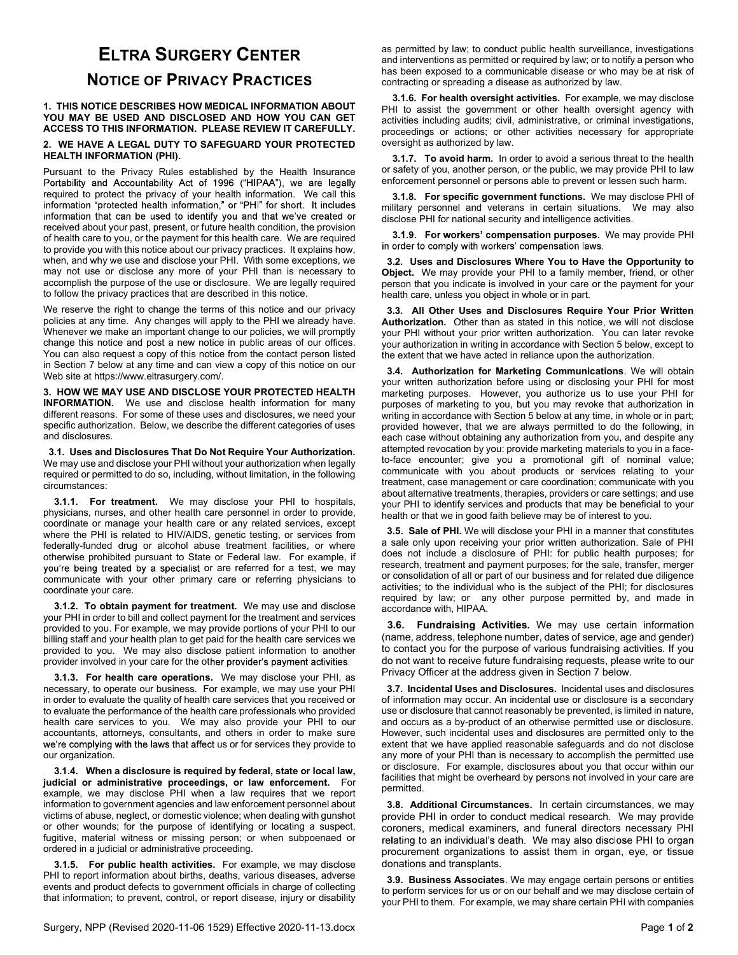## ELTRA SURGERY CENTER NOTICE OF PRIVACY PRACTICES

1. THIS NOTICE DESCRIBES HOW MEDICAL INFORMATION ABOUT YOU MAY BE USED AND DISCLOSED AND HOW YOU CAN GET ACCESS TO THIS INFORMATION. PLEASE REVIEW IT CAREFULLY.

## 2. WE HAVE A LEGAL DUTY TO SAFEGUARD YOUR PROTECTED HEALTH INFORMATION (PHI).

Pursuant to the Privacy Rules established by the Health Insurance Portability and Accountability Act of 1996 ("HIPAA"), we are legally required to protect the privacy of your health information. We call this information "protected health information," or "PHI" for short. It includes information that can be used to identify you and that we've created or received about your past, present, or future health condition, the provision of health care to you, or the payment for this health care. We are required to provide you with this notice about our privacy practices. It explains how, when, and why we use and disclose your PHI. With some exceptions, we may not use or disclose any more of your PHI than is necessary to accomplish the purpose of the use or disclosure. We are legally required to follow the privacy practices that are described in this notice.

We reserve the right to change the terms of this notice and our privacy policies at any time. Any changes will apply to the PHI we already have. Whenever we make an important change to our policies, we will promptly change this notice and post a new notice in public areas of our offices. You can also request a copy of this notice from the contact person listed in Section 7 below at any time and can view a copy of this notice on our Web site at https://www.eltrasurgery.com/.

3. HOW WE MAY USE AND DISCLOSE YOUR PROTECTED HEALTH INFORMATION. We use and disclose health information for many different reasons. For some of these uses and disclosures, we need your specific authorization. Below, we describe the different categories of uses and disclosures.

 3.1. Uses and Disclosures That Do Not Require Your Authorization. We may use and disclose your PHI without your authorization when legally required or permitted to do so, including, without limitation, in the following circumstances:

3.1.1. For treatment. We may disclose your PHI to hospitals, physicians, nurses, and other health care personnel in order to provide, coordinate or manage your health care or any related services, except where the PHI is related to HIV/AIDS, genetic testing, or services from federally-funded drug or alcohol abuse treatment facilities, or where otherwise prohibited pursuant to State or Federal law. For example, if you're being treated by a specialist or are referred for a test, we may communicate with your other primary care or referring physicians to coordinate your care.

3.1.2. To obtain payment for treatment. We may use and disclose your PHI in order to bill and collect payment for the treatment and services provided to you. For example, we may provide portions of your PHI to our billing staff and your health plan to get paid for the health care services we provided to you. We may also disclose patient information to another provider involved in your care for the other provider's payment activities.

3.1.3. For health care operations. We may disclose your PHI, as necessary, to operate our business. For example, we may use your PHI in order to evaluate the quality of health care services that you received or to evaluate the performance of the health care professionals who provided health care services to you. We may also provide your PHI to our accountants, attorneys, consultants, and others in order to make sure we're complying with the laws that affect us or for services they provide to our organization.

 3.1.4. When a disclosure is required by federal, state or local law, judicial or administrative proceedings, or law enforcement. For example, we may disclose PHI when a law requires that we report information to government agencies and law enforcement personnel about victims of abuse, neglect, or domestic violence; when dealing with gunshot or other wounds; for the purpose of identifying or locating a suspect, fugitive, material witness or missing person; or when subpoenaed or ordered in a judicial or administrative proceeding.

3.1.5. For public health activities. For example, we may disclose PHI to report information about births, deaths, various diseases, adverse events and product defects to government officials in charge of collecting that information; to prevent, control, or report disease, injury or disability as permitted by law; to conduct public health surveillance, investigations and interventions as permitted or required by law; or to notify a person who has been exposed to a communicable disease or who may be at risk of contracting or spreading a disease as authorized by law.

3.1.6. For health oversight activities. For example, we may disclose PHI to assist the government or other health oversight agency with activities including audits; civil, administrative, or criminal investigations, proceedings or actions; or other activities necessary for appropriate oversight as authorized by law.

3.1.7. To avoid harm. In order to avoid a serious threat to the health or safety of you, another person, or the public, we may provide PHI to law enforcement personnel or persons able to prevent or lessen such harm.

 3.1.8. For specific government functions. We may disclose PHI of military personnel and veterans in certain situations. We may also disclose PHI for national security and intelligence activities.

3.1.9. For workers' compensation purposes. We may provide PHI in order to comply with workers' compensation laws.

 3.2. Uses and Disclosures Where You to Have the Opportunity to Object. We may provide your PHI to a family member, friend, or other person that you indicate is involved in your care or the payment for your health care, unless you object in whole or in part.

 3.3. All Other Uses and Disclosures Require Your Prior Written Authorization. Other than as stated in this notice, we will not disclose your PHI without your prior written authorization. You can later revoke your authorization in writing in accordance with Section 5 below, except to the extent that we have acted in reliance upon the authorization.

 3.4. Authorization for Marketing Communications. We will obtain your written authorization before using or disclosing your PHI for most marketing purposes. However, you authorize us to use your PHI for purposes of marketing to you, but you may revoke that authorization in writing in accordance with Section 5 below at any time, in whole or in part; provided however, that we are always permitted to do the following, in each case without obtaining any authorization from you, and despite any attempted revocation by you: provide marketing materials to you in a faceto-face encounter; give you a promotional gift of nominal value; communicate with you about products or services relating to your treatment, case management or care coordination; communicate with you about alternative treatments, therapies, providers or care settings; and use your PHI to identify services and products that may be beneficial to your health or that we in good faith believe may be of interest to you.

 3.5. Sale of PHI. We will disclose your PHI in a manner that constitutes a sale only upon receiving your prior written authorization. Sale of PHI does not include a disclosure of PHI: for public health purposes; for research, treatment and payment purposes; for the sale, transfer, merger or consolidation of all or part of our business and for related due diligence activities; to the individual who is the subject of the PHI; for disclosures required by law; or any other purpose permitted by, and made in accordance with, HIPAA.

 3.6. Fundraising Activities. We may use certain information (name, address, telephone number, dates of service, age and gender) to contact you for the purpose of various fundraising activities. If you do not want to receive future fundraising requests, please write to our Privacy Officer at the address given in Section 7 below.

 3.7. Incidental Uses and Disclosures. Incidental uses and disclosures of information may occur. An incidental use or disclosure is a secondary use or disclosure that cannot reasonably be prevented, is limited in nature, and occurs as a by-product of an otherwise permitted use or disclosure. However, such incidental uses and disclosures are permitted only to the extent that we have applied reasonable safeguards and do not disclose any more of your PHI than is necessary to accomplish the permitted use or disclosure. For example, disclosures about you that occur within our facilities that might be overheard by persons not involved in your care are permitted.

 3.8. Additional Circumstances. In certain circumstances, we may provide PHI in order to conduct medical research. We may provide coroners, medical examiners, and funeral directors necessary PHI procurement organizations to assist them in organ, eye, or tissue donations and transplants.

 3.9. Business Associates. We may engage certain persons or entities to perform services for us or on our behalf and we may disclose certain of your PHI to them. For example, we may share certain PHI with companies